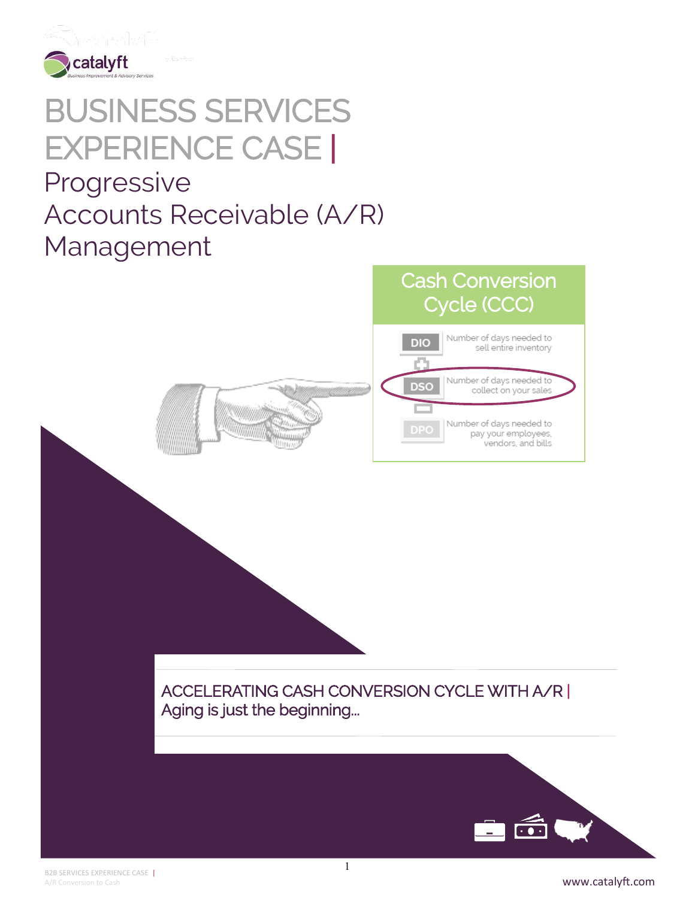

# BUSINESS SERVICES EXPERIENCE CASE |

## Progressive Accounts Receivable (A/R) Management



Cash Conversion

Cycle (CCC)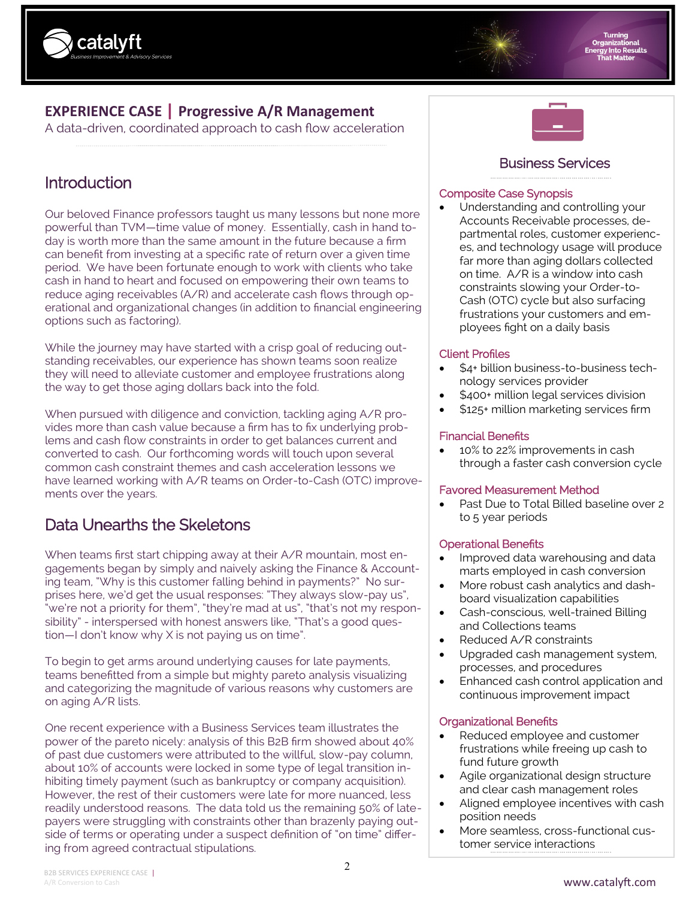

### **EXPERIENCE CASE | Progressive A/R Management**

A data-driven, coordinated approach to cash flow acceleration

## Introduction

Our beloved Finance professors taught us many lessons but none more powerful than TVM—time value of money. Essentially, cash in hand today is worth more than the same amount in the future because a firm can benefit from investing at a specific rate of return over a given time period. We have been fortunate enough to work with clients who take cash in hand to heart and focused on empowering their own teams to reduce aging receivables (A/R) and accelerate cash flows through operational and organizational changes (in addition to financial engineering options such as factoring).

While the journey may have started with a crisp goal of reducing outstanding receivables, our experience has shown teams soon realize they will need to alleviate customer and employee frustrations along the way to get those aging dollars back into the fold.

When pursued with diligence and conviction, tackling aging A/R provides more than cash value because a firm has to fix underlying problems and cash flow constraints in order to get balances current and converted to cash. Our forthcoming words will touch upon several common cash constraint themes and cash acceleration lessons we have learned working with A/R teams on Order-to-Cash (OTC) improvements over the years.

## Data Unearths the Skeletons

When teams first start chipping away at their A/R mountain, most engagements began by simply and naively asking the Finance & Accounting team, "Why is this customer falling behind in payments?" No surprises here, we'd get the usual responses: "They always slow-pay us", "we're not a priority for them", "they're mad at us", "that's not my responsibility" - interspersed with honest answers like, "That's a good question—I don't know why X is not paying us on time".

To begin to get arms around underlying causes for late payments, teams benefitted from a simple but mighty pareto analysis visualizing and categorizing the magnitude of various reasons why customers are on aging A/R lists.

One recent experience with a Business Services team illustrates the power of the pareto nicely: analysis of this B2B firm showed about 40% of past due customers were attributed to the willful, slow-pay column, about 10% of accounts were locked in some type of legal transition inhibiting timely payment (such as bankruptcy or company acquisition). However, the rest of their customers were late for more nuanced, less readily understood reasons. The data told us the remaining 50% of latepayers were struggling with constraints other than brazenly paying outside of terms or operating under a suspect definition of "on time" differing from agreed contractual stipulations.



#### Business Services

#### Composite Case Synopsis

• Understanding and controlling your Accounts Receivable processes, departmental roles, customer experiences, and technology usage will produce far more than aging dollars collected on time. A/R is a window into cash constraints slowing your Order-to-Cash (OTC) cycle but also surfacing frustrations your customers and employees fight on a daily basis

#### Client Profiles

- \$4+ billion business-to-business technology services provider
- \$400+ million legal services division
- \$125+ million marketing services firm

#### Financial Benefits

• 10% to 22% improvements in cash through a faster cash conversion cycle

#### Favored Measurement Method

Past Due to Total Billed baseline over 2 to 5 year periods

#### Operational Benefits

- Improved data warehousing and data marts employed in cash conversion
- More robust cash analytics and dashboard visualization capabilities
- Cash-conscious, well-trained Billing and Collections teams
- Reduced A/R constraints
- Upgraded cash management system, processes, and procedures
- Enhanced cash control application and continuous improvement impact

#### Organizational Benefits

- Reduced employee and customer frustrations while freeing up cash to fund future growth
- Agile organizational design structure and clear cash management roles
- Aligned employee incentives with cash position needs
- More seamless, cross-functional customer service interactions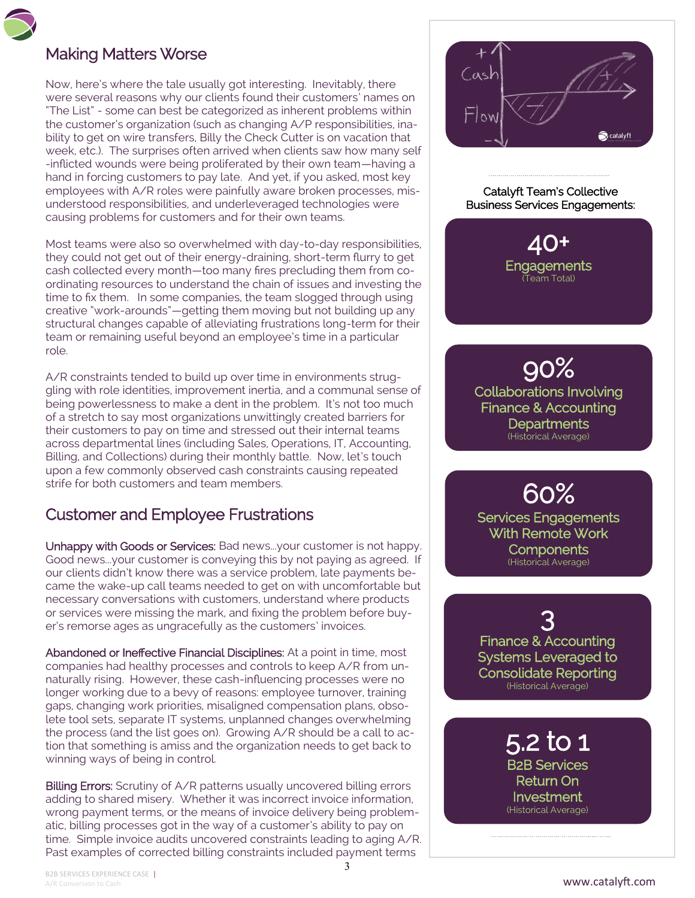## Making Matters Worse

Now, here's where the tale usually got interesting. Inevitably, there were several reasons why our clients found their customers' names on "The List" - some can best be categorized as inherent problems within the customer's organization (such as changing A/P responsibilities, inability to get on wire transfers, Billy the Check Cutter is on vacation that week, etc.). The surprises often arrived when clients saw how many self -inflicted wounds were being proliferated by their own team—having a hand in forcing customers to pay late. And yet, if you asked, most key employees with A/R roles were painfully aware broken processes, misunderstood responsibilities, and underleveraged technologies were causing problems for customers and for their own teams.

Most teams were also so overwhelmed with day-to-day responsibilities, they could not get out of their energy-draining, short-term flurry to get cash collected every month—too many fires precluding them from coordinating resources to understand the chain of issues and investing the time to fix them. In some companies, the team slogged through using creative "work-arounds"—getting them moving but not building up any structural changes capable of alleviating frustrations long-term for their team or remaining useful beyond an employee's time in a particular role.

A/R constraints tended to build up over time in environments struggling with role identities, improvement inertia, and a communal sense of being powerlessness to make a dent in the problem. It's not too much of a stretch to say most organizations unwittingly created barriers for their customers to pay on time and stressed out their internal teams across departmental lines (including Sales, Operations, IT, Accounting, Billing, and Collections) during their monthly battle. Now, let's touch upon a few commonly observed cash constraints causing repeated strife for both customers and team members.

## Customer and Employee Frustrations

Unhappy with Goods or Services: Bad news...your customer is not happy. Good news...your customer is conveying this by not paying as agreed. If our clients didn't know there was a service problem, late payments became the wake-up call teams needed to get on with uncomfortable but necessary conversations with customers, understand where products or services were missing the mark, and fixing the problem before buyer's remorse ages as ungracefully as the customers' invoices.

Abandoned or Ineffective Financial Disciplines: At a point in time, most companies had healthy processes and controls to keep A/R from unnaturally rising. However, these cash-influencing processes were no longer working due to a bevy of reasons: employee turnover, training gaps, changing work priorities, misaligned compensation plans, obsolete tool sets, separate IT systems, unplanned changes overwhelming the process (and the list goes on). Growing A/R should be a call to action that something is amiss and the organization needs to get back to winning ways of being in control.

Billing Errors: Scrutiny of A/R patterns usually uncovered billing errors adding to shared misery. Whether it was incorrect invoice information, wrong payment terms, or the means of invoice delivery being problematic, billing processes got in the way of a customer's ability to pay on time. Simple invoice audits uncovered constraints leading to aging A/R. Past examples of corrected billing constraints included payment terms



Catalyft Team's Collective Business Services Engagements:

> 40+ Engagements (Team Total)

90% Collaborations Involving Finance & Accounting **Departments** (Historical Average)

## 60%

Services Engagements With Remote Work **Components** (Historical Average)

3 Finance & Accounting Systems Leveraged to Consolidate Reporting (Historical Average)

> 5.2 to 1 B2B Services Return On Investment

(Historical Average)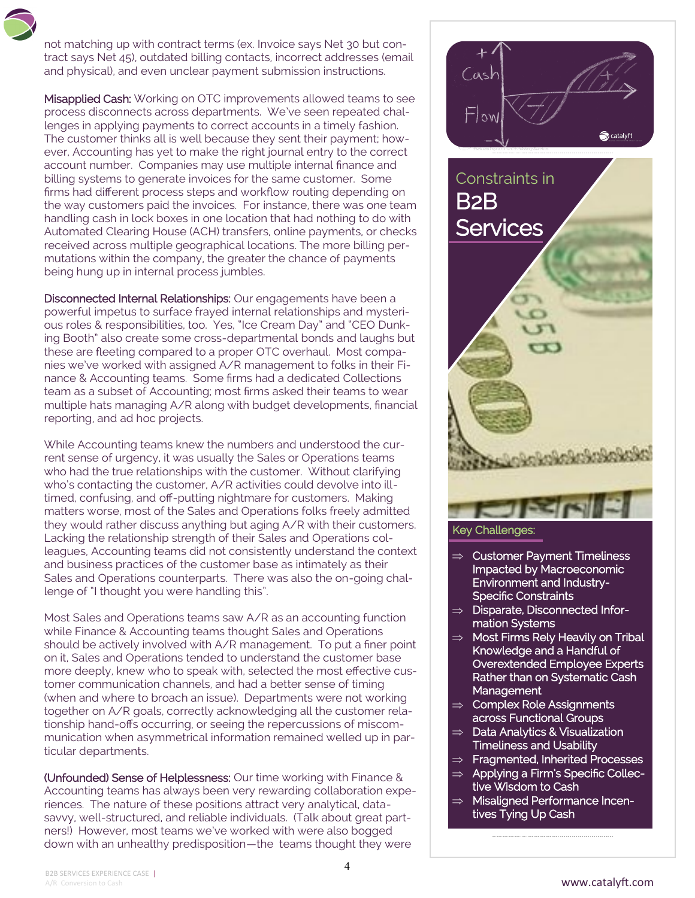not matching up with contract terms (ex. Invoice says Net 30 but contract says Net 45), outdated billing contacts, incorrect addresses (email and physical), and even unclear payment submission instructions.

Misapplied Cash: Working on OTC improvements allowed teams to see process disconnects across departments. We've seen repeated challenges in applying payments to correct accounts in a timely fashion. The customer thinks all is well because they sent their payment; however, Accounting has yet to make the right journal entry to the correct account number. Companies may use multiple internal finance and billing systems to generate invoices for the same customer. Some firms had different process steps and workflow routing depending on the way customers paid the invoices. For instance, there was one team handling cash in lock boxes in one location that had nothing to do with Automated Clearing House (ACH) transfers, online payments, or checks received across multiple geographical locations. The more billing permutations within the company, the greater the chance of payments being hung up in internal process jumbles.

Disconnected Internal Relationships: Our engagements have been a powerful impetus to surface frayed internal relationships and mysterious roles & responsibilities, too. Yes, "Ice Cream Day" and "CEO Dunking Booth" also create some cross-departmental bonds and laughs but these are fleeting compared to a proper OTC overhaul. Most companies we've worked with assigned A/R management to folks in their Finance & Accounting teams. Some firms had a dedicated Collections team as a subset of Accounting; most firms asked their teams to wear multiple hats managing A/R along with budget developments, financial reporting, and ad hoc projects.

While Accounting teams knew the numbers and understood the current sense of urgency, it was usually the Sales or Operations teams who had the true relationships with the customer. Without clarifying who's contacting the customer, A/R activities could devolve into illtimed, confusing, and off-putting nightmare for customers. Making matters worse, most of the Sales and Operations folks freely admitted they would rather discuss anything but aging A/R with their customers. Lacking the relationship strength of their Sales and Operations colleagues, Accounting teams did not consistently understand the context and business practices of the customer base as intimately as their Sales and Operations counterparts. There was also the on-going challenge of "I thought you were handling this".

Most Sales and Operations teams saw A/R as an accounting function while Finance & Accounting teams thought Sales and Operations should be actively involved with A/R management. To put a finer point on it, Sales and Operations tended to understand the customer base more deeply, knew who to speak with, selected the most effective customer communication channels, and had a better sense of timing (when and where to broach an issue). Departments were not working together on A/R goals, correctly acknowledging all the customer relationship hand-offs occurring, or seeing the repercussions of miscommunication when asymmetrical information remained welled up in particular departments.

(Unfounded) Sense of Helplessness: Our time working with Finance & Accounting teams has always been very rewarding collaboration experiences. The nature of these positions attract very analytical, datasavvy, well-structured, and reliable individuals. (Talk about great partners!) However, most teams we've worked with were also bogged down with an unhealthy predisposition—the teams thought they were



#### Key Challenges:

- $\Rightarrow$  Customer Payment Timeliness Impacted by Macroeconomic Environment and Industry-Specific Constraints
- $\Rightarrow$  Disparate, Disconnected Information Systems
- $\Rightarrow$  Most Firms Rely Heavily on Tribal Knowledge and a Handful of Overextended Employee Experts Rather than on Systematic Cash **Management**
- $\Rightarrow$  Complex Role Assignments across Functional Groups
- $\Rightarrow$  Data Analytics & Visualization Timeliness and Usability
- $\Rightarrow$  Fragmented, Inherited Processes
- $\Rightarrow$  Applying a Firm's Specific Collective Wisdom to Cash
- $\Rightarrow$  Misaligned Performance Incentives Tying Up Cash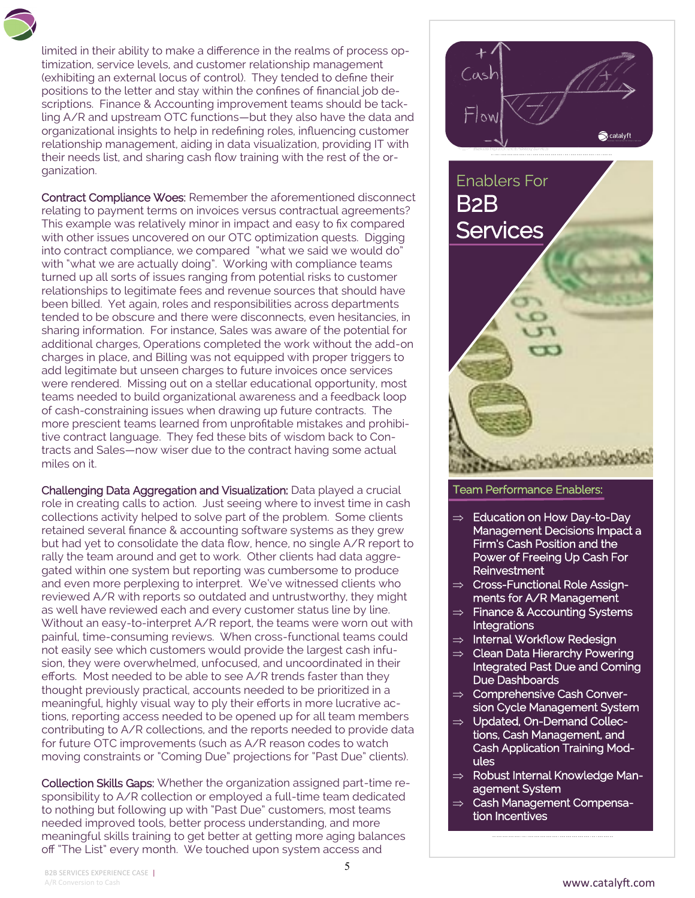limited in their ability to make a difference in the realms of process optimization, service levels, and customer relationship management (exhibiting an external locus of control). They tended to define their positions to the letter and stay within the confines of financial job descriptions. Finance & Accounting improvement teams should be tackling A/R and upstream OTC functions—but they also have the data and organizational insights to help in redefining roles, influencing customer relationship management, aiding in data visualization, providing IT with their needs list, and sharing cash flow training with the rest of the organization.

Contract Compliance Woes: Remember the aforementioned disconnect relating to payment terms on invoices versus contractual agreements? This example was relatively minor in impact and easy to fix compared with other issues uncovered on our OTC optimization quests. Digging into contract compliance, we compared "what we said we would do" with "what we are actually doing". Working with compliance teams turned up all sorts of issues ranging from potential risks to customer relationships to legitimate fees and revenue sources that should have been billed. Yet again, roles and responsibilities across departments tended to be obscure and there were disconnects, even hesitancies, in sharing information. For instance, Sales was aware of the potential for additional charges, Operations completed the work without the add-on charges in place, and Billing was not equipped with proper triggers to add legitimate but unseen charges to future invoices once services were rendered. Missing out on a stellar educational opportunity, most teams needed to build organizational awareness and a feedback loop of cash-constraining issues when drawing up future contracts. The more prescient teams learned from unprofitable mistakes and prohibitive contract language. They fed these bits of wisdom back to Contracts and Sales—now wiser due to the contract having some actual miles on it.

Challenging Data Aggregation and Visualization: Data played a crucial role in creating calls to action. Just seeing where to invest time in cash collections activity helped to solve part of the problem. Some clients retained several finance & accounting software systems as they grew but had yet to consolidate the data flow, hence, no single A/R report to rally the team around and get to work. Other clients had data aggregated within one system but reporting was cumbersome to produce and even more perplexing to interpret. We've witnessed clients who reviewed A/R with reports so outdated and untrustworthy, they might as well have reviewed each and every customer status line by line. Without an easy-to-interpret A/R report, the teams were worn out with painful, time-consuming reviews. When cross-functional teams could not easily see which customers would provide the largest cash infusion, they were overwhelmed, unfocused, and uncoordinated in their efforts. Most needed to be able to see A/R trends faster than they thought previously practical, accounts needed to be prioritized in a meaningful, highly visual way to ply their efforts in more lucrative actions, reporting access needed to be opened up for all team members contributing to A/R collections, and the reports needed to provide data for future OTC improvements (such as A/R reason codes to watch moving constraints or "Coming Due" projections for "Past Due" clients).

Collection Skills Gaps: Whether the organization assigned part-time responsibility to A/R collection or employed a full-time team dedicated to nothing but following up with "Past Due" customers, most teams needed improved tools, better process understanding, and more meaningful skills training to get better at getting more aging balances off "The List" every month. We touched upon system access and



## Enablers For B2B **Services**



#### Team Performance Enablers:

- $\Rightarrow$  Education on How Day-to-Day Management Decisions Impact a Firm's Cash Position and the Power of Freeing Up Cash For Reinvestment
- $\Rightarrow$  Cross-Functional Role Assignments for A/R Management
- $\Rightarrow$  Finance & Accounting Systems **Integrations**
- $\Rightarrow$  Internal Workflow Redesign
- $\Rightarrow$  Clean Data Hierarchy Powering Integrated Past Due and Coming Due Dashboards
- $\Rightarrow$  Comprehensive Cash Conversion Cycle Management System
- $\Rightarrow$  Updated, On-Demand Collections, Cash Management, and Cash Application Training Modules
- $\Rightarrow$  Robust Internal Knowledge Management System
- $\Rightarrow$  Cash Management Compensation Incentives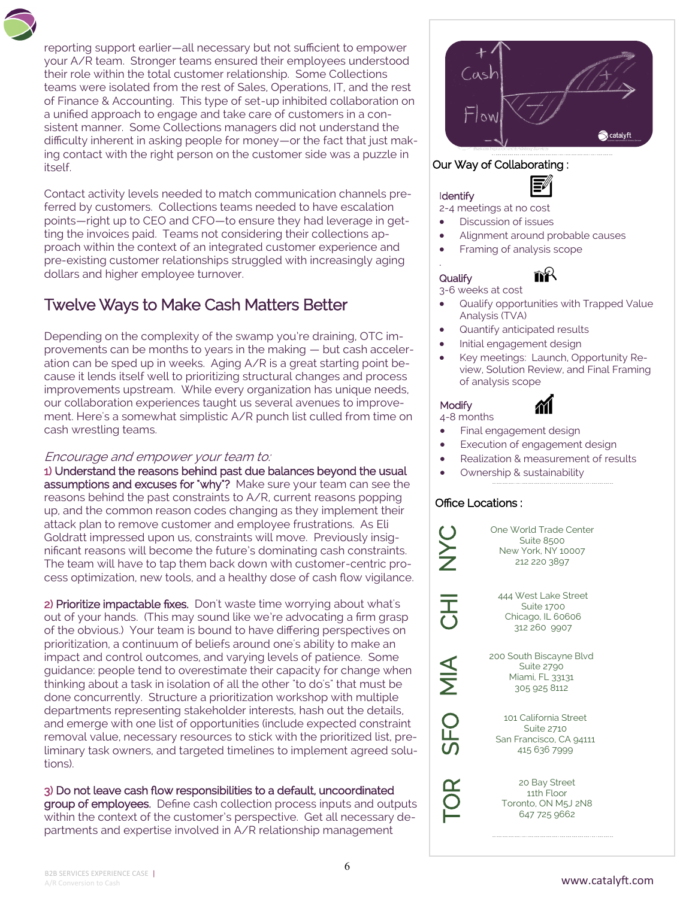reporting support earlier—all necessary but not sufficient to empower your A/R team. Stronger teams ensured their employees understood their role within the total customer relationship. Some Collections teams were isolated from the rest of Sales, Operations, IT, and the rest of Finance & Accounting. This type of set-up inhibited collaboration on a unified approach to engage and take care of customers in a consistent manner. Some Collections managers did not understand the difficulty inherent in asking people for money—or the fact that just making contact with the right person on the customer side was a puzzle in itself.

Contact activity levels needed to match communication channels preferred by customers. Collections teams needed to have escalation points—right up to CEO and CFO—to ensure they had leverage in getting the invoices paid. Teams not considering their collections approach within the context of an integrated customer experience and pre-existing customer relationships struggled with increasingly aging dollars and higher employee turnover.

## Twelve Ways to Make Cash Matters Better

Depending on the complexity of the swamp you're draining, OTC improvements can be months to years in the making — but cash acceleration can be sped up in weeks. Aging A/R is a great starting point because it lends itself well to prioritizing structural changes and process improvements upstream. While every organization has unique needs, our collaboration experiences taught us several avenues to improvement. Here's a somewhat simplistic A/R punch list culled from time on cash wrestling teams.

#### Encourage and empower your team to:

1) Understand the reasons behind past due balances beyond the usual assumptions and excuses for "why"? Make sure your team can see the reasons behind the past constraints to A/R, current reasons popping up, and the common reason codes changing as they implement their attack plan to remove customer and employee frustrations. As Eli Goldratt impressed upon us, constraints will move. Previously insignificant reasons will become the future's dominating cash constraints. The team will have to tap them back down with customer-centric process optimization, new tools, and a healthy dose of cash flow vigilance.

2) Prioritize impactable fixes. Don't waste time worrying about what's out of your hands. (This may sound like we're advocating a firm grasp of the obvious.) Your team is bound to have differing perspectives on prioritization, a continuum of beliefs around one's ability to make an impact and control outcomes, and varying levels of patience. Some guidance: people tend to overestimate their capacity for change when thinking about a task in isolation of all the other "to do's" that must be done concurrently. Structure a prioritization workshop with multiple departments representing stakeholder interests, hash out the details, and emerge with one list of opportunities (include expected constraint removal value, necessary resources to stick with the prioritized list, preliminary task owners, and targeted timelines to implement agreed solutions).

3) Do not leave cash flow responsibilities to a default, uncoordinated group of employees. Define cash collection process inputs and outputs within the context of the customer's perspective. Get all necessary departments and expertise involved in A/R relationship management



#### Our Way of Collaborating :

#### **Identify**

2-4 meetings at no cost

- Discussion of issues
- Alignment around probable causes
- Framing of analysis scope

#### **Qualify**

.

3-6 weeks at cost

- Qualify opportunities with Trapped Value Analysis (TVA)
- Quantify anticipated results
- Initial engagement design
- Key meetings: Launch, Opportunity Review, Solution Review, and Final Framing of analysis scope

#### **Modify** 4-8 months

- Final engagement design
- Execution of engagement design
- Realization & measurement of results
- Ownership & sustainability

#### Office Locations :

NYC

こ<br>こ

 $\frac{\mathbf{1}}{\mathbf{2}}$ 

SFO

TOR

One World Trade Center Suite 8500 New York, NY 10007 212 220 3897

444 West Lake Street Suite 1700 Chicago, IL 60606 312 260 9907

200 South Biscayne Blvd Suite 2790 Miami, FL 33131 305 925 8112

101 California Street Suite 2710 San Francisco, CA 94111 415 636 7999

20 Bay Street 11th Floor Toronto, ON M5J 2N8 647 725 9662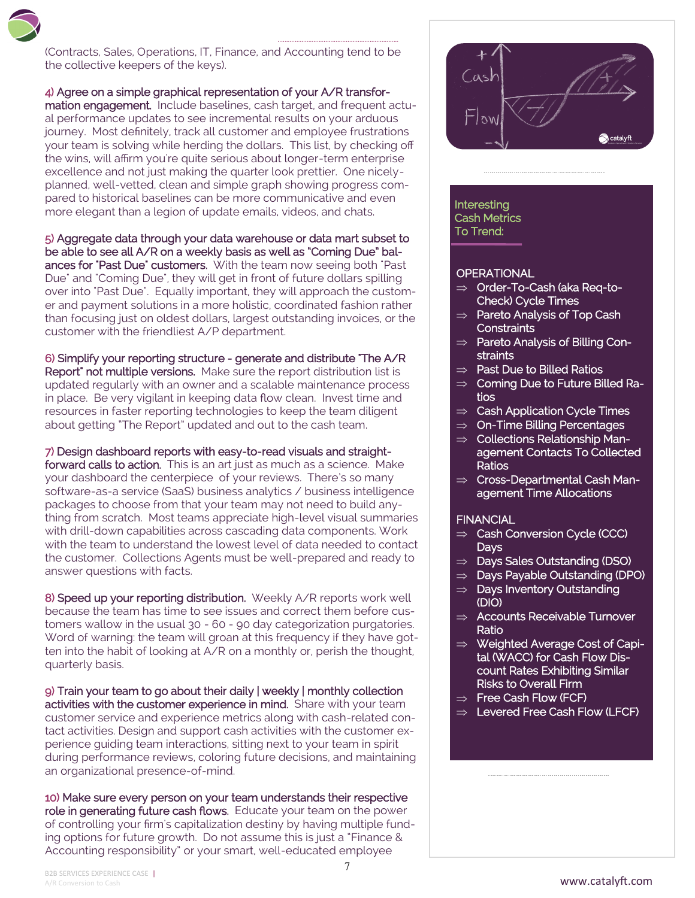(Contracts, Sales, Operations, IT, Finance, and Accounting tend to be the collective keepers of the keys).

4) Agree on a simple graphical representation of your A/R transformation engagement. Include baselines, cash target, and frequent actual performance updates to see incremental results on your arduous journey. Most definitely, track all customer and employee frustrations your team is solving while herding the dollars. This list, by checking off the wins, will affirm you're quite serious about longer-term enterprise excellence and not just making the quarter look prettier. One nicelyplanned, well-vetted, clean and simple graph showing progress compared to historical baselines can be more communicative and even more elegant than a legion of update emails, videos, and chats.

5) Aggregate data through your data warehouse or data mart subset to be able to see all A/R on a weekly basis as well as "Coming Due" balances for "Past Due" customers. With the team now seeing both "Past Due" and "Coming Due", they will get in front of future dollars spilling over into "Past Due". Equally important, they will approach the customer and payment solutions in a more holistic, coordinated fashion rather than focusing just on oldest dollars, largest outstanding invoices, or the customer with the friendliest A/P department.

6) Simplify your reporting structure - generate and distribute "The A/R Report" not multiple versions. Make sure the report distribution list is updated regularly with an owner and a scalable maintenance process in place. Be very vigilant in keeping data flow clean. Invest time and resources in faster reporting technologies to keep the team diligent about getting "The Report" updated and out to the cash team.

7) Design dashboard reports with easy-to-read visuals and straightforward calls to action. This is an art just as much as a science. Make your dashboard the centerpiece of your reviews. There's so many software-as-a service (SaaS) business analytics / business intelligence packages to choose from that your team may not need to build anything from scratch. Most teams appreciate high-level visual summaries with drill-down capabilities across cascading data components. Work with the team to understand the lowest level of data needed to contact the customer. Collections Agents must be well-prepared and ready to answer questions with facts.

8) Speed up your reporting distribution. Weekly A/R reports work well because the team has time to see issues and correct them before customers wallow in the usual 30 - 60 - 90 day categorization purgatories. Word of warning: the team will groan at this frequency if they have gotten into the habit of looking at A/R on a monthly or, perish the thought, quarterly basis.

9) Train your team to go about their daily | weekly | monthly collection activities with the customer experience in mind. Share with your team customer service and experience metrics along with cash-related contact activities. Design and support cash activities with the customer experience guiding team interactions, sitting next to your team in spirit during performance reviews, coloring future decisions, and maintaining an organizational presence-of-mind.

10) Make sure every person on your team understands their respective role in generating future cash flows. Educate your team on the power of controlling your firm's capitalization destiny by having multiple funding options for future growth. Do not assume this is just a "Finance & Accounting responsibility" or your smart, well-educated employee



Interesting Cash Metrics To Trend:

#### **OPERATIONAL**

- $\Rightarrow$  Order-To-Cash (aka Req-to-Check) Cycle Times
- $\Rightarrow$  Pareto Analysis of Top Cash **Constraints**
- $\Rightarrow$  Pareto Analysis of Billing Constraints
- $\Rightarrow$  Past Due to Billed Ratios
- $\Rightarrow$  Coming Due to Future Billed Ratios
- $\Rightarrow$  Cash Application Cycle Times
- $\Rightarrow$  On-Time Billing Percentages
- $\Rightarrow$  Collections Relationship Management Contacts To Collected Ratios
- $\Rightarrow$  Cross-Departmental Cash Management Time Allocations

#### FINANCIAL

- $\Rightarrow$  Cash Conversion Cycle (CCC) **Days**
- $\Rightarrow$  Days Sales Outstanding (DSO)
- $\Rightarrow$  Days Payable Outstanding (DPO)
- $\Rightarrow$  Days Inventory Outstanding (DIO)
- $\Rightarrow$  Accounts Receivable Turnover Ratio
- $\Rightarrow$  Weighted Average Cost of Capital (WACC) for Cash Flow Discount Rates Exhibiting Similar Risks to Overall Firm
- $\Rightarrow$  Free Cash Flow (FCF)
- $\Rightarrow$  Levered Free Cash Flow (LFCF)